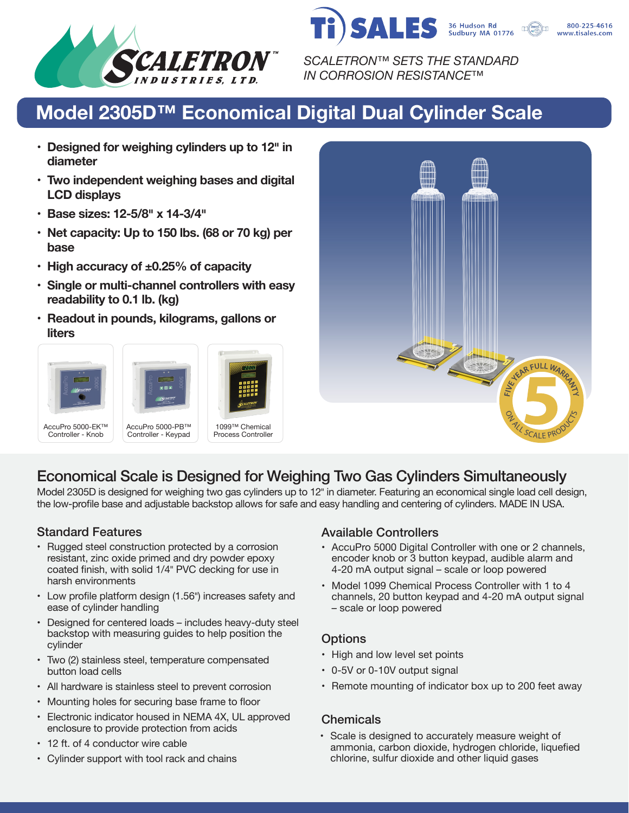



*SCALETRON™ SETS THE STANDARD IN CORROSION RESISTANCE™*

# **Model 2305D™ Economical Digital Dual Cylinder Scale**

- **• Designed for weighing cylinders up to 12� in diameter**
- **• Two independent weighing bases and digital LCD displays**
- **• Base sizes: 12-5/8� x 14-3/4�**
- **• Net capacity: Up to 150 lbs. (68 or 70 kg) per base**
- **• High accuracy of ±0.25% of capacity**
- **• Single or multi-channel controllers with easy readability to 0.1 lb. (kg)**
- **• Readout in pounds, kilograms, gallons or liters**





## Economical Scale is Designed for Weighing Two Gas Cylinders Simultaneously

Model 2305D is designed for weighing two gas cylinders up to 12<sup>t</sup> in diameter. Featuring an economical single load cell design, the low-profile base and adjustable backstop allows for safe and easy handling and centering of cylinders. MADE IN USA.

- Rugged steel construction protected by a corrosion resistant, zinc oxide primed and dry powder epoxy coated finish, with solid 1/4" PVC decking for use in harsh environments
- Low profile platform design (1.56") increases safety and ease of cylinder handling
- Designed for centered loads includes heavy-duty steel backstop with measuring guides to help position the cylinder
- Two (2) stainless steel, temperature compensated button load cells
- All hardware is stainless steel to prevent corrosion
- Mounting holes for securing base frame to floor
- Electronic indicator housed in NEMA 4X, UL approved enclosure to provide protection from acids
- 12 ft. of 4 conductor wire cable
- Cylinder support with tool rack and chains

### Standard Features **Available Controllers** Available Controllers

- AccuPro 5000 Digital Controller with one or 2 channels, encoder knob or 3 button keypad, audible alarm and 4-20 mA output signal – scale or loop powered
- Model 1099 Chemical Process Controller with 1 to 4 channels, 20 button keypad and 4-20 mA output signal – scale or loop powered

#### **Options**

- High and low level set points
- 0-5V or 0-10V output signal
- Remote mounting of indicator box up to 200 feet away

#### **Chemicals**

• Scale is designed to accurately measure weight of ammonia, carbon dioxide, hydrogen chloride, liquefied chlorine, sulfur dioxide and other liquid gases